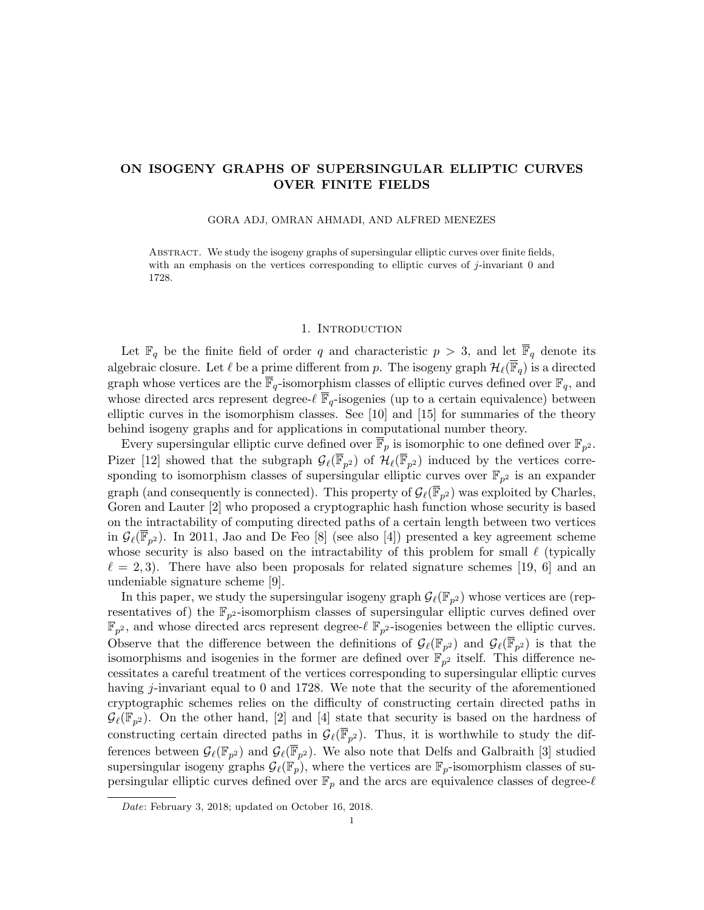# ON ISOGENY GRAPHS OF SUPERSINGULAR ELLIPTIC CURVES OVER FINITE FIELDS

### GORA ADJ, OMRAN AHMADI, AND ALFRED MENEZES

Abstract. We study the isogeny graphs of supersingular elliptic curves over finite fields, with an emphasis on the vertices corresponding to elliptic curves of j-invariant 0 and 1728.

# 1. INTRODUCTION

Let  $\mathbb{F}_q$  be the finite field of order q and characteristic  $p > 3$ , and let  $\overline{\mathbb{F}}_q$  denote its algebraic closure. Let  $\ell$  be a prime different from p. The isogeny graph  $\mathcal{H}_{\ell}(\overline{\mathbb{F}}_q)$  is a directed graph whose vertices are the  $\overline{\mathbb{F}}_q$ -isomorphism classes of elliptic curves defined over  $\mathbb{F}_q$ , and whose directed arcs represent degree- $\ell \overline{\mathbb{F}}_q$ -isogenies (up to a certain equivalence) between elliptic curves in the isomorphism classes. See [10] and [15] for summaries of the theory behind isogeny graphs and for applications in computational number theory.

Every supersingular elliptic curve defined over  $\overline{\mathbb{F}}_p$  is isomorphic to one defined over  $\mathbb{F}_{p^2}$ . Pizer [12] showed that the subgraph  $\mathcal{G}_{\ell}(\overline{\mathbb{F}}_{p^2})$  of  $\mathcal{H}_{\ell}(\overline{\mathbb{F}}_{p^2})$  induced by the vertices corresponding to isomorphism classes of supersingular elliptic curves over  $\mathbb{F}_{p^2}$  is an expander graph (and consequently is connected). This property of  $\mathcal{G}_{\ell}(\overline{\mathbb{F}}_{p^2})$  was exploited by Charles, Goren and Lauter [2] who proposed a cryptographic hash function whose security is based on the intractability of computing directed paths of a certain length between two vertices in  $\mathcal{G}_{\ell}(\overline{\mathbb{F}}_{p^2})$ . In 2011, Jao and De Feo [8] (see also [4]) presented a key agreement scheme whose security is also based on the intractability of this problem for small  $\ell$  (typically  $\ell = 2, 3$ . There have also been proposals for related signature schemes [19, 6] and an undeniable signature scheme [9].

In this paper, we study the supersingular isogeny graph  $\mathcal{G}_{\ell}(\mathbb{F}_{p^2})$  whose vertices are (representatives of) the  $\mathbb{F}_{p^2}$ -isomorphism classes of supersingular elliptic curves defined over  $\mathbb{F}_{p^2}$ , and whose directed arcs represent degree- $\ell \mathbb{F}_{p^2}$ -isogenies between the elliptic curves. Observe that the difference between the definitions of  $\mathcal{G}_{\ell}(\mathbb{F}_{p^2})$  and  $\mathcal{G}_{\ell}(\overline{\mathbb{F}}_{p^2})$  is that the isomorphisms and isogenies in the former are defined over  $\mathbb{F}_{p^2}$  itself. This difference necessitates a careful treatment of the vertices corresponding to supersingular elliptic curves having j-invariant equal to 0 and 1728. We note that the security of the aforementioned cryptographic schemes relies on the difficulty of constructing certain directed paths in  $\mathcal{G}_{\ell}(\mathbb{F}_{p^2})$ . On the other hand, [2] and [4] state that security is based on the hardness of constructing certain directed paths in  $\mathcal{G}_{\ell}(\overline{\mathbb{F}}_{p^2})$ . Thus, it is worthwhile to study the differences between  $\mathcal{G}_{\ell}(\mathbb{F}_{p^2})$  and  $\mathcal{G}_{\ell}(\overline{\mathbb{F}}_{p^2})$ . We also note that Delfs and Galbraith [3] studied supersingular isogeny graphs  $\mathcal{G}_{\ell}(\mathbb{F}_p)$ , where the vertices are  $\mathbb{F}_p$ -isomorphism classes of supersingular elliptic curves defined over  $\mathbb{F}_p$  and the arcs are equivalence classes of degree- $\ell$ 

Date: February 3, 2018; updated on October 16, 2018.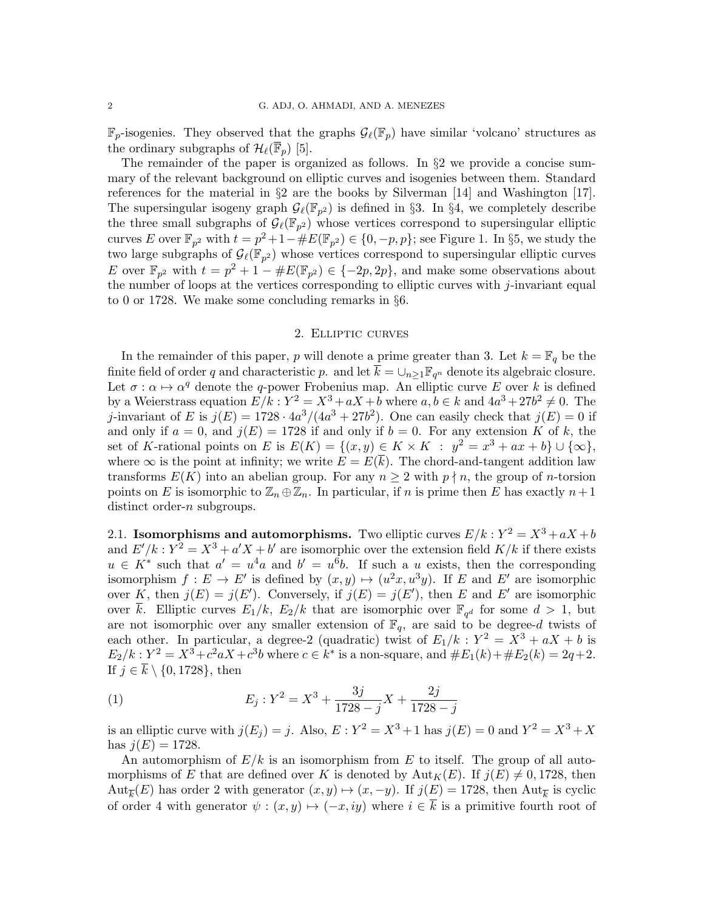$\mathbb{F}_p$ -isogenies. They observed that the graphs  $\mathcal{G}_{\ell}(\mathbb{F}_p)$  have similar 'volcano' structures as the ordinary subgraphs of  $\mathcal{H}_{\ell}(\overline{\mathbb{F}}_p)$  [5].

The remainder of the paper is organized as follows. In  $\S 2$  we provide a concise summary of the relevant background on elliptic curves and isogenies between them. Standard references for the material in §2 are the books by Silverman [14] and Washington [17]. The supersingular isogeny graph  $\mathcal{G}_{\ell}(\mathbb{F}_{p^2})$  is defined in §3. In §4, we completely describe the three small subgraphs of  $\mathcal{G}_{\ell}(\mathbb{F}_{p^2})$  whose vertices correspond to supersingular elliptic curves E over  $\mathbb{F}_{p^2}$  with  $t = p^2 + 1 - \#E(\mathbb{F}_{p^2}) \in \{0, -p, p\}$ ; see Figure 1. In §5, we study the two large subgraphs of  $\mathcal{G}_{\ell}(\mathbb{F}_{p^2})$  whose vertices correspond to supersingular elliptic curves E over  $\mathbb{F}_{p^2}$  with  $t = p^2 + 1 - \#E(\mathbb{F}_{p^2}) \in \{-2p, 2p\}$ , and make some observations about the number of loops at the vertices corresponding to elliptic curves with  $j$ -invariant equal to 0 or 1728. We make some concluding remarks in §6.

## 2. Elliptic curves

In the remainder of this paper, p will denote a prime greater than 3. Let  $k = \mathbb{F}_q$  be the finite field of order q and characteristic p. and let  $\overline{k} = \cup_{n \geq 1} \mathbb{F}_{q^n}$  denote its algebraic closure. Let  $\sigma : \alpha \mapsto \alpha^q$  denote the q-power Frobenius map. An elliptic curve E over k is defined by a Weierstrass equation  $E/k: Y^2 = X^3 + aX + b$  where  $a, b \in k$  and  $4a^3 + 27b^2 \neq 0$ . The j-invariant of E is  $j(E) = 1728 \cdot 4a^3/(4a^3 + 27b^2)$ . One can easily check that  $j(E) = 0$  if and only if  $a = 0$ , and  $j(E) = 1728$  if and only if  $b = 0$ . For any extension K of k, the set of K-rational points on E is  $E(K) = \{(x, y) \in K \times K : y^2 = x^3 + ax + b\} \cup \{\infty\},\$ where  $\infty$  is the point at infinity; we write  $E = E(\overline{k})$ . The chord-and-tangent addition law transforms  $E(K)$  into an abelian group. For any  $n \geq 2$  with  $p \nmid n$ , the group of *n*-torsion points on E is isomorphic to  $\mathbb{Z}_n \oplus \mathbb{Z}_n$ . In particular, if n is prime then E has exactly  $n+1$ distinct order-*n* subgroups.

2.1. Isomorphisms and automorphisms. Two elliptic curves  $E/k : Y^2 = X^3 + aX + b$ and  $E'/k : Y^2 = X^3 + a'X + b'$  are isomorphic over the extension field  $K/k$  if there exists  $u \in K^*$  such that  $a' = u^4a$  and  $b' = u^6b$ . If such a u exists, then the corresponding isomorphism  $f: E \to E'$  is defined by  $(x, y) \mapsto (u^2x, u^3y)$ . If E and E' are isomorphic over K, then  $j(E) = j(E')$ . Conversely, if  $j(E) = j(E')$ , then E and E' are isomorphic over  $\bar{k}$ . Elliptic curves  $E_1/k$ ,  $E_2/k$  that are isomorphic over  $\mathbb{F}_{q^d}$  for some  $d > 1$ , but are not isomorphic over any smaller extension of  $\mathbb{F}_q$ , are said to be degree-d twists of each other. In particular, a degree-2 (quadratic) twist of  $E_1/k$  :  $Y^2 = X^3 + aX + b$  is  $E_2/k: Y^2 = X^3 + c^2 aX + c^3 b$  where  $c \in k^*$  is a non-square, and  $\#E_1(k) + \#E_2(k) = 2q+2$ . If  $j \in \overline{k} \setminus \{0, 1728\}$ , then

(1) 
$$
E_j: Y^2 = X^3 + \frac{3j}{1728 - j}X + \frac{2j}{1728 - j}
$$

is an elliptic curve with  $j(E_j) = j$ . Also,  $E: Y^2 = X^3 + 1$  has  $j(E) = 0$  and  $Y^2 = X^3 + X$ has  $j(E) = 1728$ .

An automorphism of  $E/k$  is an isomorphism from E to itself. The group of all automorphisms of E that are defined over K is denoted by  $Aut_K(E)$ . If  $j(E) \neq 0, 1728$ , then Aut<sub> $\overline{k}(E)$ </sub> has order 2 with generator  $(x, y) \mapsto (x, -y)$ . If  $j(E) = 1728$ , then Aut<sub>k</sub> is cyclic of order 4 with generator  $\psi : (x, y) \mapsto (-x, iy)$  where  $i \in \overline{k}$  is a primitive fourth root of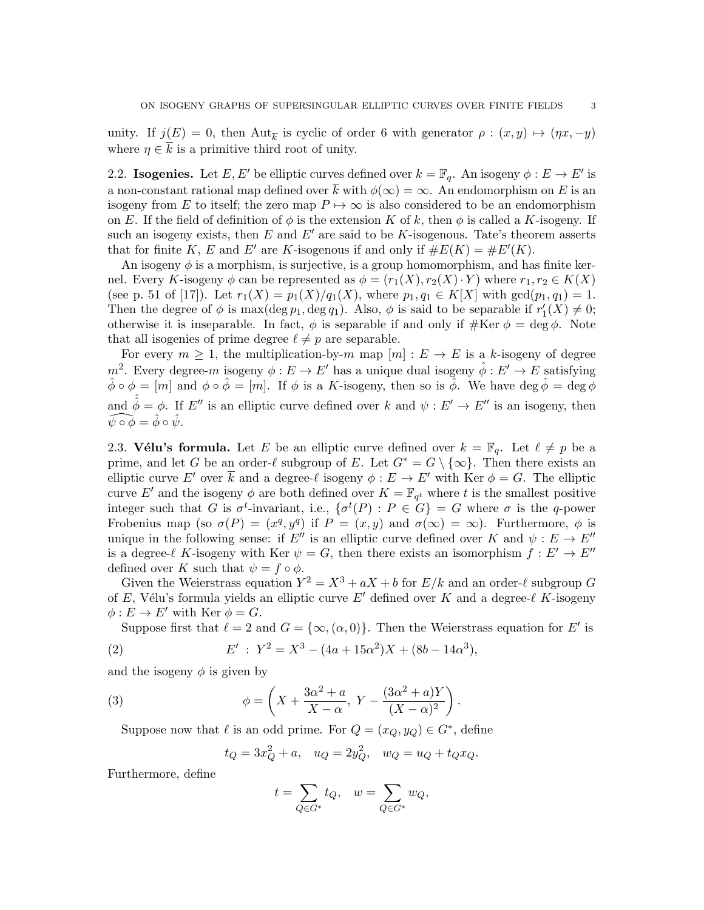unity. If  $j(E) = 0$ , then  $\text{Aut}_{\overline{k}}$  is cyclic of order 6 with generator  $\rho : (x, y) \mapsto (\eta x, -y)$ where  $\eta \in k$  is a primitive third root of unity.

2.2. Isogenies. Let E, E' be elliptic curves defined over  $k = \mathbb{F}_q$ . An isogeny  $\phi : E \to E'$  is a non-constant rational map defined over  $\overline{k}$  with  $\phi(\infty) = \infty$ . An endomorphism on E is an isogeny from E to itself; the zero map  $P \mapsto \infty$  is also considered to be an endomorphism on E. If the field of definition of  $\phi$  is the extension K of k, then  $\phi$  is called a K-isogeny. If such an isogeny exists, then E and E' are said to be K-isogenous. Tate's theorem asserts that for finite K, E and E' are K-isogenous if and only if  $\#E(K) = \#E'(K)$ .

An isogeny  $\phi$  is a morphism, is surjective, is a group homomorphism, and has finite kernel. Every K-isogeny  $\phi$  can be represented as  $\phi = (r_1(X), r_2(X) \cdot Y)$  where  $r_1, r_2 \in K(X)$ (see p. 51 of [17]). Let  $r_1(X) = p_1(X)/q_1(X)$ , where  $p_1, q_1 \in K[X]$  with  $gcd(p_1, q_1) = 1$ . Then the degree of  $\phi$  is max( $\deg p_1, \deg q_1$ ). Also,  $\phi$  is said to be separable if  $r'_1(X) \neq 0$ ; otherwise it is inseparable. In fact,  $\phi$  is separable if and only if  $\# \text{Ker } \phi = \deg \phi$ . Note that all isogenies of prime degree  $\ell \neq p$  are separable.

For every  $m \geq 1$ , the multiplication-by-m map  $[m] : E \to E$  is a k-isogeny of degree m<sup>2</sup>. Every degree-m isogeny  $\phi: E \to E'$  has a unique dual isogeny  $\hat{\phi}: E' \to E$  satisfying  $\hat{\phi} \circ \phi = [m]$  and  $\phi \circ \hat{\phi} = [m]$ . If  $\phi$  is a K-isogeny, then so is  $\hat{\phi}$ . We have  $\deg \hat{\phi} = \deg \phi$ and  $\hat{\hat{\phi}} = \phi$ . If E'' is an elliptic curve defined over k and  $\psi : E' \to E''$  is an isogeny, then  $\widehat{\psi \circ \phi} = \hat{\phi} \circ \hat{\psi}.$ 

2.3. Vélu's formula. Let E be an elliptic curve defined over  $k = \mathbb{F}_q$ . Let  $\ell \neq p$  be a prime, and let G be an order- $\ell$  subgroup of E. Let  $G^* = G \setminus \{\infty\}$ . Then there exists an elliptic curve E' over  $\overline{k}$  and a degree- $\ell$  isogeny  $\phi : E \to E'$  with Ker  $\phi = G$ . The elliptic curve E' and the isogeny  $\phi$  are both defined over  $K = \mathbb{F}_{q^t}$  where t is the smallest positive integer such that G is  $\sigma^t$ -invariant, i.e.,  $\{\sigma^t(P) : P \in G\} = G$  where  $\sigma$  is the q-power Frobenius map (so  $\sigma(P) = (x^q, y^q)$  if  $P = (x, y)$  and  $\sigma(\infty) = \infty$ ). Furthermore,  $\phi$  is unique in the following sense: if  $E''$  is an elliptic curve defined over K and  $\psi : E \to E''$ is a degree- $\ell$  K-isogeny with Ker  $\psi = G$ , then there exists an isomorphism  $f : E' \to E''$ defined over K such that  $\psi = f \circ \phi$ .

Given the Weierstrass equation  $Y^2 = X^3 + aX + b$  for  $E/k$  and an order- $\ell$  subgroup G of E, Vélu's formula yields an elliptic curve E' defined over K and a degree- $\ell$  K-isogeny  $\phi: E \to E'$  with Ker  $\phi = G$ .

Suppose first that  $\ell = 2$  and  $G = {\infty, (\alpha, 0)}$ . Then the Weierstrass equation for E' is

(2) 
$$
E' : Y^2 = X^3 - (4a + 15\alpha^2)X + (8b - 14\alpha^3),
$$

and the isogeny  $\phi$  is given by

(3) 
$$
\phi = \left(X + \frac{3\alpha^2 + a}{X - \alpha}, Y - \frac{(3\alpha^2 + a)Y}{(X - \alpha)^2}\right).
$$

Suppose now that  $\ell$  is an odd prime. For  $Q = (x_Q, y_Q) \in G^*$ , define

$$
t_Q = 3x_Q^2 + a
$$
,  $u_Q = 2y_Q^2$ ,  $w_Q = u_Q + t_Q x_Q$ .

Furthermore, define

$$
t = \sum_{Q \in G^*} t_Q, \quad w = \sum_{Q \in G^*} w_Q,
$$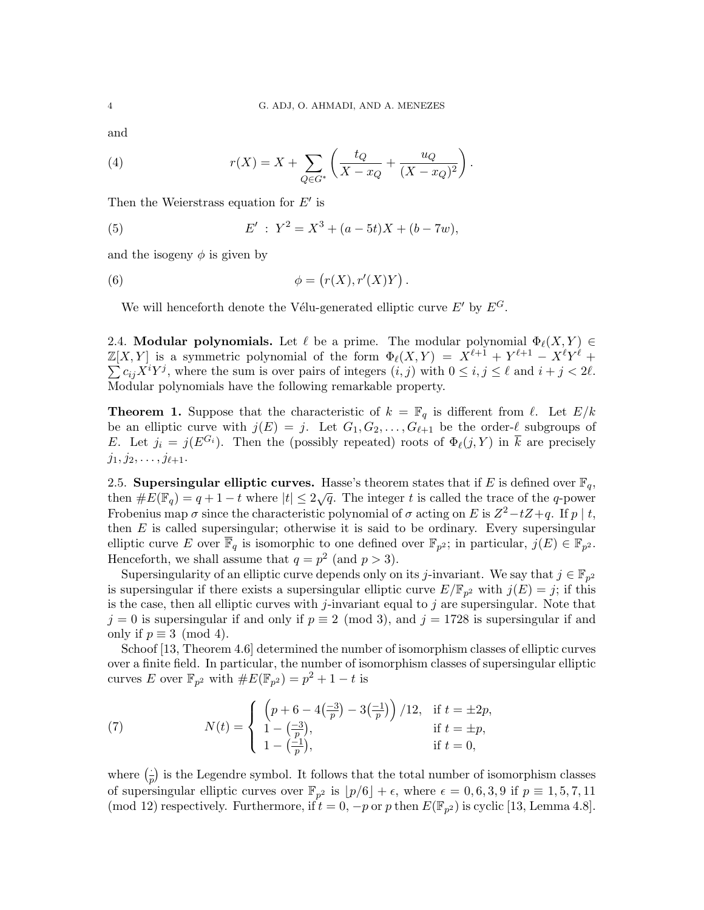and

(4) 
$$
r(X) = X + \sum_{Q \in G^*} \left( \frac{t_Q}{X - x_Q} + \frac{u_Q}{(X - x_Q)^2} \right).
$$

Then the Weierstrass equation for  $E'$  is

(5) 
$$
E' : Y^2 = X^3 + (a - 5t)X + (b - 7w),
$$

and the isogeny  $\phi$  is given by

(6) 
$$
\phi = (r(X), r'(X)Y).
$$

We will henceforth denote the Vélu-generated elliptic curve  $E'$  by  $E^G$ .

2.4. Modular polynomials. Let  $\ell$  be a prime. The modular polynomial  $\Phi_{\ell}(X, Y) \in$  $\mathbb{Z}[X,Y]$  is a symmetric polynomial of the form  $\Phi_{\ell}(X,Y) = X^{\ell+1} + Y^{\ell+1} - X^{\ell}Y^{\ell} + Y^{\ell}Y^{\ell}$  $\sum c_{ij}X^{i}Y^{j}$ , where the sum is over pairs of integers  $(i, j)$  with  $0 \leq i, j \leq \ell$  and  $i + j < 2\ell$ . Modular polynomials have the following remarkable property.

**Theorem 1.** Suppose that the characteristic of  $k = \mathbb{F}_q$  is different from  $\ell$ . Let  $E/k$ be an elliptic curve with  $j(E) = j$ . Let  $G_1, G_2, \ldots, G_{\ell+1}$  be the order- $\ell$  subgroups of E. Let  $j_i = j(E^{G_i})$ . Then the (possibly repeated) roots of  $\Phi_{\ell}(j, Y)$  in  $\overline{k}$  are precisely  $j_1, j_2, \ldots, j_{\ell+1}.$ 

2.5. Supersingular elliptic curves. Hasse's theorem states that if E is defined over  $\mathbb{F}_q$ , then  $\#E(\mathbb{F}_q) = q + 1 - t$  where  $|t| \leq 2\sqrt{q}$ . The integer t is called the trace of the q-power Frobenius map  $\sigma$  since the characteristic polynomial of  $\sigma$  acting on E is  $Z^2 - tZ + q$ . If  $p \mid t$ , then  $E$  is called supersingular; otherwise it is said to be ordinary. Every supersingular elliptic curve E over  $\overline{\mathbb{F}}_q$  is isomorphic to one defined over  $\mathbb{F}_{p^2}$ ; in particular,  $j(E) \in \mathbb{F}_{p^2}$ . Henceforth, we shall assume that  $q = p^2$  (and  $p > 3$ ).

Supersingularity of an elliptic curve depends only on its j-invariant. We say that  $j \in \mathbb{F}_{p^2}$ is supersingular if there exists a supersingular elliptic curve  $E/\mathbb{F}_{p^2}$  with  $j(E) = j$ ; if this is the case, then all elliptic curves with j-invariant equal to j are supersingular. Note that  $j = 0$  is supersingular if and only if  $p \equiv 2 \pmod{3}$ , and  $j = 1728$  is supersingular if and only if  $p \equiv 3 \pmod{4}$ .

Schoof [13, Theorem 4.6] determined the number of isomorphism classes of elliptic curves over a finite field. In particular, the number of isomorphism classes of supersingular elliptic curves E over  $\mathbb{F}_{p^2}$  with  $\#E(\mathbb{F}_{p^2}) = p^2 + 1 - t$  is

(7) 
$$
N(t) = \begin{cases} \left(p + 6 - 4\left(\frac{-3}{p}\right) - 3\left(\frac{-1}{p}\right)\right) / 12, & \text{if } t = \pm 2p, \\ 1 - \left(\frac{-3}{p}\right), & \text{if } t = \pm p, \\ 1 - \left(\frac{-1}{p}\right), & \text{if } t = 0, \end{cases}
$$

where  $\left(\frac{1}{x}\right)$  $\frac{1}{p}$ ) is the Legendre symbol. It follows that the total number of isomorphism classes of supersingular elliptic curves over  $\mathbb{F}_{p^2}$  is  $\lfloor p/6 \rfloor + \epsilon$ , where  $\epsilon = 0, 6, 3, 9$  if  $p \equiv 1, 5, 7, 11$ (mod 12) respectively. Furthermore, if  $t = 0$ ,  $-p$  or p then  $E(\mathbb{F}_{p^2})$  is cyclic [13, Lemma 4.8].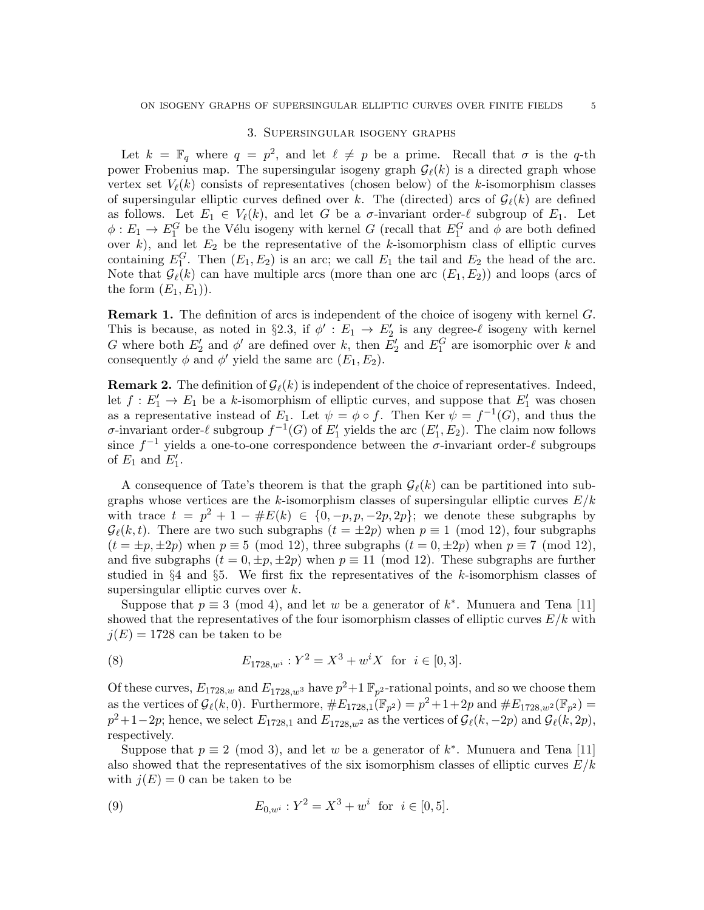### 3. Supersingular isogeny graphs

Let  $k = \mathbb{F}_q$  where  $q = p^2$ , and let  $\ell \neq p$  be a prime. Recall that  $\sigma$  is the q-th power Frobenius map. The supersingular isogeny graph  $\mathcal{G}_{\ell}(k)$  is a directed graph whose vertex set  $V_{\ell}(k)$  consists of representatives (chosen below) of the k-isomorphism classes of supersingular elliptic curves defined over k. The (directed) arcs of  $\mathcal{G}_{\ell}(k)$  are defined as follows. Let  $E_1 \in V_{\ell}(k)$ , and let G be a  $\sigma$ -invariant order- $\ell$  subgroup of  $E_1$ . Let  $\phi: E_1 \to E_1^G$  be the Vélu isogeny with kernel G (recall that  $E_1^G$  and  $\phi$  are both defined over  $k$ ), and let  $E_2$  be the representative of the k-isomorphism class of elliptic curves containing  $E_1^G$ . Then  $(E_1, E_2)$  is an arc; we call  $E_1$  the tail and  $E_2$  the head of the arc. Note that  $\mathcal{G}_{\ell}(k)$  can have multiple arcs (more than one arc  $(E_1, E_2)$ ) and loops (arcs of the form  $(E_1, E_1)$ .

**Remark 1.** The definition of arcs is independent of the choice of isogeny with kernel G. This is because, as noted in §2.3, if  $\phi' : E_1 \to E_2'$  is any degree- $\ell$  isogeny with kernel G where both  $E_2'$  and  $\phi'$  are defined over k, then  $E_2'$  and  $E_1^G$  are isomorphic over k and consequently  $\phi$  and  $\phi'$  yield the same arc  $(E_1, E_2)$ .

**Remark 2.** The definition of  $\mathcal{G}_{\ell}(k)$  is independent of the choice of representatives. Indeed, let  $f: E'_1 \to E_1$  be a k-isomorphism of elliptic curves, and suppose that  $E'_1$  was chosen as a representative instead of  $E_1$ . Let  $\psi = \phi \circ f$ . Then Ker  $\psi = f^{-1}(G)$ , and thus the σ-invariant order- $\ell$  subgroup  $f^{-1}(G)$  of  $E'_1$  yields the arc  $(E'_1, E_2)$ . The claim now follows since  $f^{-1}$  yields a one-to-one correspondence between the  $\sigma$ -invariant order- $\ell$  subgroups of  $E_1$  and  $E'_1$ .

A consequence of Tate's theorem is that the graph  $\mathcal{G}_{\ell}(k)$  can be partitioned into subgraphs whose vertices are the k-isomorphism classes of supersingular elliptic curves  $E/k$ with trace  $t = p^2 + 1 - \#E(k) \in \{0, -p, p, -2p, 2p\};$  we denote these subgraphs by  $\mathcal{G}_{\ell}(k, t)$ . There are two such subgraphs  $(t = \pm 2p)$  when  $p \equiv 1 \pmod{12}$ , four subgraphs  $(t = \pm p, \pm 2p)$  when  $p \equiv 5 \pmod{12}$ , three subgraphs  $(t = 0, \pm 2p)$  when  $p \equiv 7 \pmod{12}$ , and five subgraphs  $(t = 0, \pm p, \pm 2p)$  when  $p \equiv 11 \pmod{12}$ . These subgraphs are further studied in §4 and §5. We first fix the representatives of the k-isomorphism classes of supersingular elliptic curves over k.

Suppose that  $p \equiv 3 \pmod{4}$ , and let w be a generator of  $k^*$ . Munuera and Tena [11] showed that the representatives of the four isomorphism classes of elliptic curves  $E/k$  with  $j(E) = 1728$  can be taken to be

(8) 
$$
E_{1728,w^{i}}: Y^{2} = X^{3} + w^{i} X \text{ for } i \in [0,3].
$$

Of these curves,  $E_{1728,w}$  and  $E_{1728,w}$ <sup>3</sup> have  $p^2+1 \mathbb{F}_{p^2}$ -rational points, and so we choose them as the vertices of  $\mathcal{G}_{\ell}(k,0)$ . Furthermore,  $\#E_{1728,1}(\mathbb{F}_{p^2}) = p^2 + 1 + 2p$  and  $\#E_{1728,w^2}(\mathbb{F}_{p^2}) =$  $p^2+1-2p$ ; hence, we select  $E_{1728,1}$  and  $E_{1728,w^2}$  as the vertices of  $\mathcal{G}_{\ell}(k, -2p)$  and  $\mathcal{G}_{\ell}(k, 2p)$ , respectively.

Suppose that  $p \equiv 2 \pmod{3}$ , and let w be a generator of  $k^*$ . Munuera and Tena [11] also showed that the representatives of the six isomorphism classes of elliptic curves  $E/k$ with  $j(E) = 0$  can be taken to be

(9) 
$$
E_{0,w^{i}}: Y^{2} = X^{3} + w^{i} \text{ for } i \in [0,5].
$$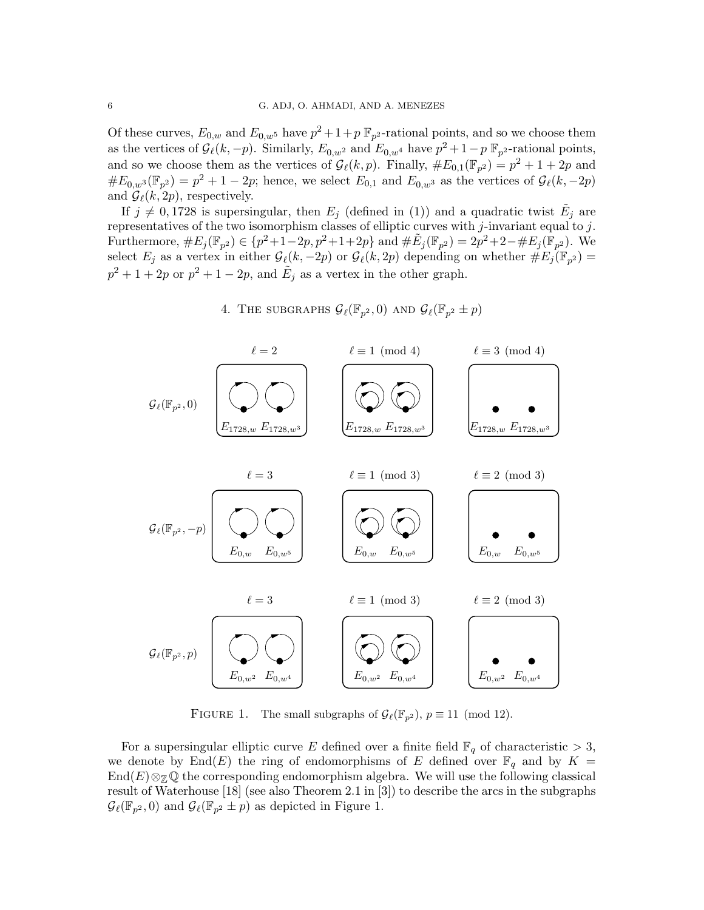Of these curves,  $E_{0,w}$  and  $E_{0,w}$ <sup>5</sup> have  $p^2 + 1 + p \mathbb{F}_{p^2}$ -rational points, and so we choose them as the vertices of  $\mathcal{G}_{\ell}(k, -p)$ . Similarly,  $E_{0,w^2}$  and  $E_{0,w^4}$  have  $p^2 + 1-p$   $\mathbb{F}_{p^2}$ -rational points, and so we choose them as the vertices of  $\mathcal{G}_{\ell}(k, p)$ . Finally,  $\#E_{0,1}(\mathbb{F}_{p^2}) = p^2 + 1 + 2p$  and  $\#E_{0,w^3}(\mathbb{F}_{p^2}) = p^2 + 1 - 2p$ ; hence, we select  $E_{0,1}$  and  $E_{0,w^3}$  as the vertices of  $\mathcal{G}_{\ell}(k, -2p)$ and  $\mathcal{G}_{\ell}(k, 2p)$ , respectively.

If  $j \neq 0,1728$  is supersingular, then  $E_j$  (defined in (1)) and a quadratic twist  $\tilde{E}_j$  are representatives of the two isomorphism classes of elliptic curves with j-invariant equal to j. Furthermore,  $\#E_j(\mathbb{F}_{p^2}) \in \{p^2+1-2p, p^2+1+2p\}$  and  $\#\tilde{E}_j(\mathbb{F}_{p^2}) = 2p^2+2-\#E_j(\mathbb{F}_{p^2})$ . We select  $E_j$  as a vertex in either  $\mathcal{G}_{\ell}(k, -2p)$  or  $\mathcal{G}_{\ell}(k, 2p)$  depending on whether  $\#E_j(\mathbb{F}_{p^2}) =$  $p^2 + 1 + 2p$  or  $p^2 + 1 - 2p$ , and  $\tilde{E}_j$  as a vertex in the other graph.

 $E_{1728,w} E_{1728,w3}$  ,  $E_{1728,w} E_{1728,w}$  $\ell = 2$   $\ell \equiv 1 \pmod{4}$   $\ell \equiv 3 \pmod{4}$  $E_{0,w^2}$   $E_{0,w^4}$  |  $E_{0,w^2}$   $E_{0,w^4}$  |  $E_{0,w^2}$   $E_{0,w^4}$  $\ell = 3$   $\ell \equiv 1 \pmod{3}$   $\ell \equiv 2 \pmod{3}$  $E_{0,w}$   $E_{0,w^5}$   $\Big\vert$   $E_{0,w}$   $E_{0,w^5}$   $\Big\vert$   $E_{0,w}$   $E_{0,w^5}$  $\ell \equiv 3$   $\ell \equiv 1 \pmod{3}$   $\ell \equiv 2 \pmod{3}$  $\mathcal{G}_{\ell}(\mathbb{F}_{p^2}, 0)$  $\mathcal{G}_{\ell}(\mathbb{F}_{p^2}% )\simeq\mathcal{G}_{\ell}(\mathbb{F}_{p^2})^2$  $\mathcal{G}_{\ell}(\mathbb{F}_{p^2}, p)$ 

4. THE SUBGRAPHS  $\mathcal{G}_{\ell}(\mathbb{F}_{p^2},0)$  and  $\mathcal{G}_{\ell}(\mathbb{F}_{p^2} \pm p)$ 

FIGURE 1. The small subgraphs of  $\mathcal{G}_{\ell}(\mathbb{F}_{p^2})$ ,  $p \equiv 11 \pmod{12}$ .

For a supersingular elliptic curve E defined over a finite field  $\mathbb{F}_q$  of characteristic  $> 3$ , we denote by End(E) the ring of endomorphisms of E defined over  $\mathbb{F}_q$  and by  $K =$  $\text{End}(E)\otimes_{\mathbb{Z}}\mathbb{Q}$  the corresponding endomorphism algebra. We will use the following classical result of Waterhouse [18] (see also Theorem 2.1 in [3]) to describe the arcs in the subgraphs  $\mathcal{G}_{\ell}(\mathbb{F}_{p^2},0)$  and  $\mathcal{G}_{\ell}(\mathbb{F}_{p^2} \pm p)$  as depicted in Figure 1.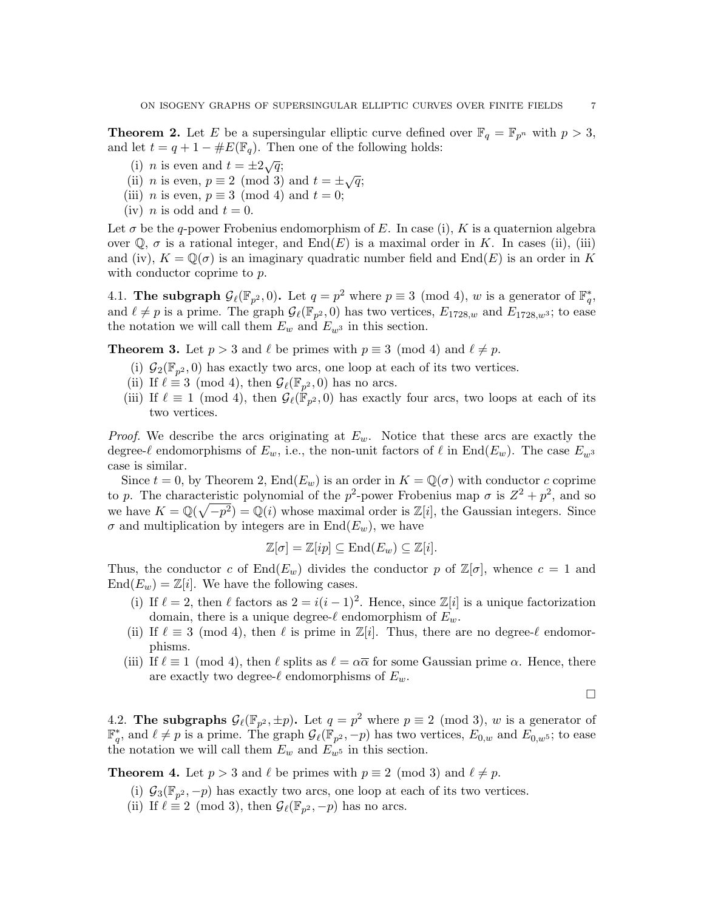**Theorem 2.** Let E be a supersingular elliptic curve defined over  $\mathbb{F}_q = \mathbb{F}_{p^n}$  with  $p > 3$ , and let  $t = q + 1 - \#E(\mathbb{F}_q)$ . Then one of the following holds:

- (i) *n* is even and  $t = \pm 2\sqrt{q}$ ;
- (i) *n* is even and  $t = \pm 2\sqrt{q}$ ;<br>(ii) *n* is even,  $p \equiv 2 \pmod{3}$  and  $t = \pm \sqrt{q}$ ;
- (iii) *n* is even,  $p \equiv 3 \pmod{4}$  and  $t = 0$ ;
- (iv) *n* is odd and  $t = 0$ .

Let  $\sigma$  be the q-power Frobenius endomorphism of E. In case (i), K is a quaternion algebra over  $\mathbb{Q}$ ,  $\sigma$  is a rational integer, and End(E) is a maximal order in K. In cases (ii), (iii) and (iv),  $K = \mathbb{Q}(\sigma)$  is an imaginary quadratic number field and End(E) is an order in K with conductor coprime to p.

4.1. The subgraph  $\mathcal{G}_{\ell}(\mathbb{F}_{p^2}, 0)$ . Let  $q = p^2$  where  $p \equiv 3 \pmod{4}$ , w is a generator of  $\mathbb{F}_q^*$ , and  $\ell \neq p$  is a prime. The graph  $\mathcal{G}_{\ell}(\mathbb{F}_{p^2}, 0)$  has two vertices,  $E_{1728,w}$  and  $E_{1728,w^3}$ ; to ease the notation we will call them  $E_w$  and  $E_{w^3}$  in this section.

**Theorem 3.** Let  $p > 3$  and  $\ell$  be primes with  $p \equiv 3 \pmod{4}$  and  $\ell \neq p$ .

- (i)  $\mathcal{G}_2(\mathbb{F}_{p^2},0)$  has exactly two arcs, one loop at each of its two vertices.
- (ii) If  $\ell \equiv 3 \pmod{4}$ , then  $\mathcal{G}_{\ell}(\mathbb{F}_{p^2}, 0)$  has no arcs.
- (iii) If  $\ell \equiv 1 \pmod{4}$ , then  $\mathcal{G}_{\ell}(\mathbb{F}_{p^2},0)$  has exactly four arcs, two loops at each of its two vertices.

*Proof.* We describe the arcs originating at  $E_w$ . Notice that these arcs are exactly the degree- $\ell$  endomorphisms of  $E_w$ , i.e., the non-unit factors of  $\ell$  in End( $E_w$ ). The case  $E_w$ <sup>3</sup> case is similar.

Since  $t = 0$ , by Theorem 2,  $\text{End}(E_w)$  is an order in  $K = \mathbb{Q}(\sigma)$  with conductor c coprime to p. The characteristic polynomial of the  $p^2$ -power Frobenius map  $\sigma$  is  $Z^2 + p^2$ , and so we have  $K = \mathbb{Q}(\sqrt{-p^2}) = \mathbb{Q}(i)$  whose maximal order is  $\mathbb{Z}[i]$ , the Gaussian integers. Since  $\sigma$  and multiplication by integers are in End $(E_w)$ , we have

$$
\mathbb{Z}[\sigma] = \mathbb{Z}[ip] \subseteq \text{End}(E_w) \subseteq \mathbb{Z}[i].
$$

Thus, the conductor c of  $\text{End}(E_w)$  divides the conductor p of  $\mathbb{Z}[\sigma]$ , whence  $c = 1$  and  $\text{End}(E_w) = \mathbb{Z}[i]$ . We have the following cases.

- (i) If  $\ell = 2$ , then  $\ell$  factors as  $2 = i(i 1)^2$ . Hence, since  $\mathbb{Z}[i]$  is a unique factorization domain, there is a unique degree- $\ell$  endomorphism of  $E_w$ .
- (ii) If  $\ell \equiv 3 \pmod{4}$ , then  $\ell$  is prime in  $\mathbb{Z}[i]$ . Thus, there are no degree- $\ell$  endomorphisms.
- (iii) If  $\ell \equiv 1 \pmod{4}$ , then  $\ell$  splits as  $\ell = \alpha \overline{\alpha}$  for some Gaussian prime  $\alpha$ . Hence, there are exactly two degree- $\ell$  endomorphisms of  $E_w$ .

 $\Box$ 

4.2. The subgraphs  $\mathcal{G}_{\ell}(\mathbb{F}_{p^2}, \pm p)$ . Let  $q = p^2$  where  $p \equiv 2 \pmod{3}$ , w is a generator of  $\mathbb{F}_q^*$ , and  $\ell \neq p$  is a prime. The graph  $\mathcal{G}_{\ell}(\mathbb{F}_{p^2}, -p)$  has two vertices,  $E_{0,w}$  and  $E_{0,w}$ <sup>5</sup>; to ease the notation we will call them  $E_w$  and  $E_{w^5}$  in this section.

**Theorem 4.** Let  $p > 3$  and  $\ell$  be primes with  $p \equiv 2 \pmod{3}$  and  $\ell \neq p$ .

- (i)  $\mathcal{G}_3(\mathbb{F}_{p^2}, -p)$  has exactly two arcs, one loop at each of its two vertices.
- (ii) If  $\ell \equiv 2 \pmod{3}$ , then  $\mathcal{G}_{\ell}(\mathbb{F}_{p^2}, -p)$  has no arcs.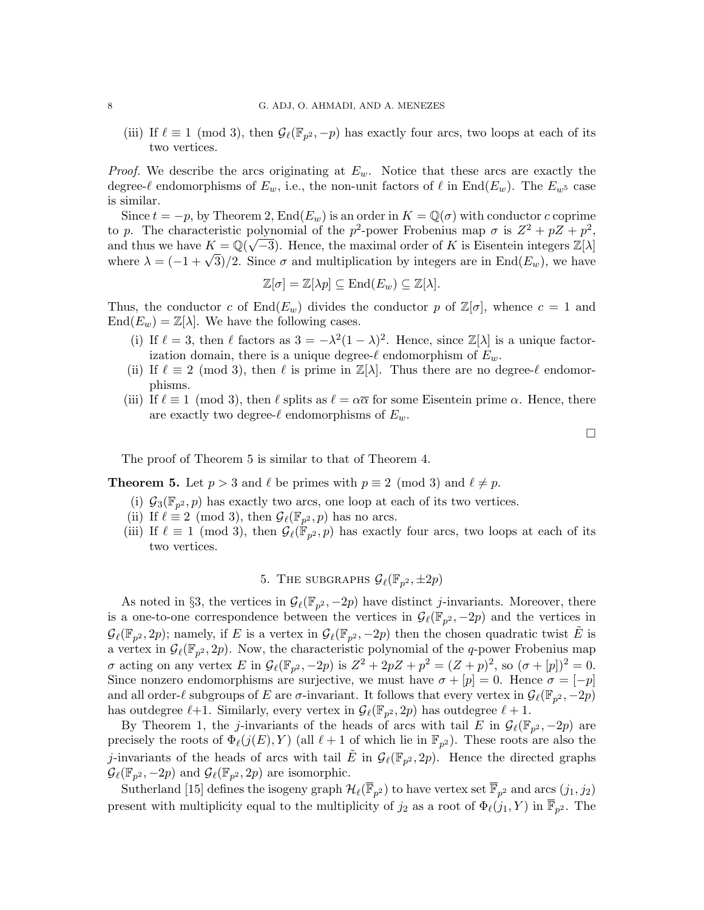(iii) If  $\ell \equiv 1 \pmod{3}$ , then  $\mathcal{G}_{\ell}(\mathbb{F}_{p^2}, -p)$  has exactly four arcs, two loops at each of its two vertices.

*Proof.* We describe the arcs originating at  $E_w$ . Notice that these arcs are exactly the degree- $\ell$  endomorphisms of  $E_w$ , i.e., the non-unit factors of  $\ell$  in End( $E_w$ ). The  $E_{w^5}$  case is similar.

Since  $t = -p$ , by Theorem 2, End $(E_w)$  is an order in  $K = \mathbb{Q}(\sigma)$  with conductor c coprime to p. The characteristic polynomial of the p<sup>2</sup>-power Frobenius map  $\sigma$  is  $Z^2 + pZ + p^2$ , and thus we have  $K = \mathbb{Q}(\sqrt{-3})$ . Hence, the maximal order of K is Eisentein integers  $\mathbb{Z}[\lambda]$ where  $\lambda = (-1 + \sqrt{3})/2$ . Since  $\sigma$  and multiplication by integers are in End $(E_w)$ , we have

$$
\mathbb{Z}[\sigma] = \mathbb{Z}[\lambda p] \subseteq \text{End}(E_w) \subseteq \mathbb{Z}[\lambda].
$$

Thus, the conductor c of  $End(E_w)$  divides the conductor p of  $\mathbb{Z}[\sigma]$ , whence  $c = 1$  and  $\text{End}(E_w) = \mathbb{Z}[\lambda]$ . We have the following cases.

- (i) If  $\ell = 3$ , then  $\ell$  factors as  $3 = -\lambda^2(1 \lambda)^2$ . Hence, since  $\mathbb{Z}[\lambda]$  is a unique factorization domain, there is a unique degree- $\ell$  endomorphism of  $E_w$ .
- (ii) If  $\ell \equiv 2 \pmod{3}$ , then  $\ell$  is prime in  $\mathbb{Z}[\lambda]$ . Thus there are no degree- $\ell$  endomorphisms.
- (iii) If  $\ell \equiv 1 \pmod{3}$ , then  $\ell$  splits as  $\ell = \alpha \overline{\alpha}$  for some Eisentein prime  $\alpha$ . Hence, there are exactly two degree- $\ell$  endomorphisms of  $E_w$ .

 $\Box$ 

The proof of Theorem 5 is similar to that of Theorem 4.

**Theorem 5.** Let  $p > 3$  and  $\ell$  be primes with  $p \equiv 2 \pmod{3}$  and  $\ell \neq p$ .

- (i)  $\mathcal{G}_3(\mathbb{F}_{p^2}, p)$  has exactly two arcs, one loop at each of its two vertices.
- (ii) If  $\ell \equiv 2 \pmod{3}$ , then  $\mathcal{G}_{\ell}(\mathbb{F}_{p^2}, p)$  has no arcs.
- (iii) If  $\ell \equiv 1 \pmod{3}$ , then  $\mathcal{G}_{\ell}(\mathbb{F}_{p^2}, p)$  has exactly four arcs, two loops at each of its two vertices.

# 5. The subgraphs  $\mathcal{G}_{\ell}(\mathbb{F}_{p^2}, \pm 2p)$

As noted in §3, the vertices in  $\mathcal{G}_{\ell}(\mathbb{F}_{p^2}, -2p)$  have distinct *j*-invariants. Moreover, there is a one-to-one correspondence between the vertices in  $\mathcal{G}_{\ell}(\mathbb{F}_{p^2}, -2p)$  and the vertices in  $\mathcal{G}_{\ell}(\mathbb{F}_{p^2}, 2p)$ ; namely, if E is a vertex in  $\mathcal{G}_{\ell}(\mathbb{F}_{p^2}, -2p)$  then the chosen quadratic twist  $\tilde{E}$  is a vertex in  $\mathcal{G}_{\ell}(\mathbb{F}_{p^2}, 2p)$ . Now, the characteristic polynomial of the q-power Frobenius map  $\sigma$  acting on any vertex E in  $\mathcal{G}_{\ell}(\mathbb{F}_{p^2}, -2p)$  is  $Z^2 + 2pZ + p^2 = (Z + p)^2$ , so  $(\sigma + [p])^2 = 0$ . Since nonzero endomorphisms are surjective, we must have  $\sigma + [p] = 0$ . Hence  $\sigma = [-p]$ and all order- $\ell$  subgroups of E are  $\sigma$ -invariant. It follows that every vertex in  $\mathcal{G}_{\ell}(\mathbb{F}_{p^2}, -2p)$ has outdegree  $\ell + 1$ . Similarly, every vertex in  $\mathcal{G}_{\ell}(\mathbb{F}_{p^2}, 2p)$  has outdegree  $\ell + 1$ .

By Theorem 1, the j-invariants of the heads of arcs with tail E in  $\mathcal{G}_{\ell}(\mathbb{F}_{p^2}, -2p)$  are precisely the roots of  $\Phi_{\ell}(j(E), Y)$  (all  $\ell + 1$  of which lie in  $\mathbb{F}_{p^2}$ ). These roots are also the j-invariants of the heads of arcs with tail  $\tilde{E}$  in  $\mathcal{G}_{\ell}(\mathbb{F}_{p^2}, 2p)$ . Hence the directed graphs  $\mathcal{G}_{\ell}(\mathbb{F}_{p^2}, -2p)$  and  $\mathcal{G}_{\ell}(\mathbb{F}_{p^2}, 2p)$  are isomorphic.

Sutherland [15] defines the isogeny graph  $\mathcal{H}_{\ell}(\overline{\mathbb{F}}_{p^2})$  to have vertex set  $\overline{\mathbb{F}}_{p^2}$  and arcs  $(j_1, j_2)$ present with multiplicity equal to the multiplicity of  $j_2$  as a root of  $\Phi_{\ell}(j_1, Y)$  in  $\overline{\mathbb{F}}_{p^2}$ . The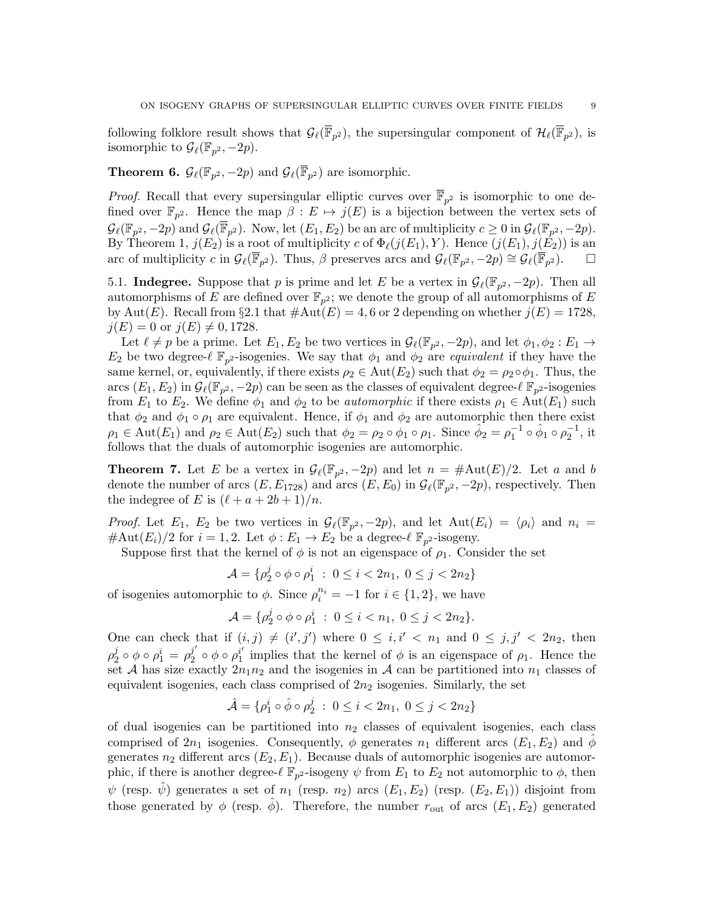following folklore result shows that  $\mathcal{G}_{\ell}(\overline{\mathbb{F}}_{p^2})$ , the supersingular component of  $\mathcal{H}_{\ell}(\overline{\mathbb{F}}_{p^2})$ , is isomorphic to  $\mathcal{G}_{\ell}(\mathbb{F}_{p^2}, -2p)$ .

**Theorem 6.**  $\mathcal{G}_{\ell}(\mathbb{F}_{p^2}, -2p)$  and  $\mathcal{G}_{\ell}(\mathbb{F}_{p^2})$  are isomorphic.

*Proof.* Recall that every supersingular elliptic curves over  $\overline{\mathbb{F}}_{p^2}$  is isomorphic to one defined over  $\mathbb{F}_{p^2}$ . Hence the map  $\beta: E \mapsto j(E)$  is a bijection between the vertex sets of  $\mathcal{G}_{\ell}(\mathbb{F}_{p^2}, -2p)$  and  $\mathcal{G}_{\ell}(\overline{\mathbb{F}}_{p^2})$ . Now, let  $(E_1, E_2)$  be an arc of multiplicity  $c \geq 0$  in  $\mathcal{G}_{\ell}(\mathbb{F}_{p^2}, -2p)$ . By Theorem 1,  $j(E_2)$  is a root of multiplicity c of  $\Phi_{\ell}(j(E_1), Y)$ . Hence  $(j(E_1), j(E_2))$  is an arc of multiplicity c in  $\mathcal{G}_{\ell}(\overline{\mathbb{F}}_{p^2})$ . Thus,  $\beta$  preserves arcs and  $\mathcal{G}_{\ell}(\mathbb{F}_{p^2}, -2p) \cong \mathcal{G}_{\ell}(\overline{\mathbb{F}}_{p^2})$ .

5.1. **Indegree.** Suppose that p is prime and let E be a vertex in  $\mathcal{G}_{\ell}(\mathbb{F}_{p^2}, -2p)$ . Then all automorphisms of E are defined over  $\mathbb{F}_{p^2}$ ; we denote the group of all automorphisms of E by Aut(E). Recall from §2.1 that  $\#\text{Aut}(E) = 4, 6$  or 2 depending on whether  $j(E) = 1728$ ,  $j(E) = 0$  or  $j(E) \neq 0, 1728$ .

Let  $\ell \neq p$  be a prime. Let  $E_1, E_2$  be two vertices in  $\mathcal{G}_{\ell}(\mathbb{F}_{p^2}, -2p)$ , and let  $\phi_1, \phi_2 : E_1 \to$  $E_2$  be two degree- $\ell \mathbb{F}_{p^2}$ -isogenies. We say that  $\phi_1$  and  $\phi_2$  are *equivalent* if they have the same kernel, or, equivalently, if there exists  $\rho_2 \in \text{Aut}(E_2)$  such that  $\phi_2 = \rho_2 \circ \phi_1$ . Thus, the arcs  $(E_1, E_2)$  in  $\mathcal{G}_{\ell}(\mathbb{F}_{p^2}, -2p)$  can be seen as the classes of equivalent degree- $\ell \mathbb{F}_{p^2}$ -isogenies from  $E_1$  to  $E_2$ . We define  $\phi_1$  and  $\phi_2$  to be *automorphic* if there exists  $\rho_1 \in \text{Aut}(E_1)$  such that  $\phi_2$  and  $\phi_1 \circ \rho_1$  are equivalent. Hence, if  $\phi_1$  and  $\phi_2$  are automorphic then there exist  $\rho_1 \in \text{Aut}(E_1)$  and  $\rho_2 \in \text{Aut}(E_2)$  such that  $\phi_2 = \rho_2 \circ \phi_1 \circ \rho_1$ . Since  $\hat{\phi}_2 = \rho_1^{-1} \circ \hat{\phi}_1 \circ \rho_2^{-1}$ , it follows that the duals of automorphic isogenies are automorphic.

**Theorem 7.** Let E be a vertex in  $\mathcal{G}_{\ell}(\mathbb{F}_{p^2}, -2p)$  and let  $n = \# \text{Aut}(E)/2$ . Let a and b denote the number of arcs  $(E, E_{1728})$  and arcs  $(E, E_0)$  in  $\mathcal{G}_{\ell}(\mathbb{F}_{p^2}, -2p)$ , respectively. Then the indegree of E is  $(\ell + a + 2b + 1)/n$ .

*Proof.* Let  $E_1$ ,  $E_2$  be two vertices in  $\mathcal{G}_{\ell}(\mathbb{F}_{p^2}, -2p)$ , and let  $Aut(E_i) = \langle \rho_i \rangle$  and  $n_i =$  $\#\text{Aut}(E_i)/2$  for  $i = 1, 2$ . Let  $\phi: E_1 \to E_2$  be a degree- $\ell \ \mathbb{F}_{p^2}$ -isogeny.

Suppose first that the kernel of  $\phi$  is not an eigenspace of  $\rho_1$ . Consider the set

$$
\mathcal{A} = \{ \rho_2^j \circ \phi \circ \rho_1^i \; : \; 0 \le i < 2n_1, \; 0 \le j < 2n_2 \}
$$

of isogenies automorphic to  $\phi$ . Since  $\rho_i^{n_i} = -1$  for  $i \in \{1, 2\}$ , we have

$$
\mathcal{A} = \{ \rho_2^j \circ \phi \circ \rho_1^i \; : \; 0 \leq i < n_1, \; 0 \leq j < 2n_2 \}.
$$

One can check that if  $(i, j) \neq (i', j')$  where  $0 \leq i, i' < n_1$  and  $0 \leq j, j' < 2n_2$ , then ρ j  $i_2^j \circ \phi \circ \rho_1^i = \rho_2^{j'}$  $j'$  ο φ ο  $ρ_1^{i'}$  $i'$  implies that the kernel of  $\phi$  is an eigenspace of  $\rho_1$ . Hence the set A has size exactly  $2n_1n_2$  and the isogenies in A can be partitioned into  $n_1$  classes of equivalent isogenies, each class comprised of  $2n_2$  isogenies. Similarly, the set

$$
\hat{\mathcal{A}} = \{ \rho^i_1 \circ \hat{\phi} \circ \rho^j_2 \ : \ 0 \leq i < 2n_1, \ 0 \leq j < 2n_2 \}
$$

of dual isogenies can be partitioned into  $n_2$  classes of equivalent isogenies, each class comprised of  $2n_1$  isogenies. Consequently,  $\phi$  generates  $n_1$  different arcs  $(E_1, E_2)$  and  $\phi$ generates  $n_2$  different arcs  $(E_2, E_1)$ . Because duals of automorphic isogenies are automorphic, if there is another degree- $\ell \mathbb{F}_{p^2}$ -isogeny  $\psi$  from  $E_1$  to  $E_2$  not automorphic to  $\phi$ , then  $\psi$  (resp.  $\hat{\psi}$ ) generates a set of  $n_1$  (resp.  $n_2$ ) arcs  $(E_1, E_2)$  (resp.  $(E_2, E_1)$ ) disjoint from those generated by  $\phi$  (resp.  $\hat{\phi}$ ). Therefore, the number  $r_{\text{out}}$  of arcs  $(E_1, E_2)$  generated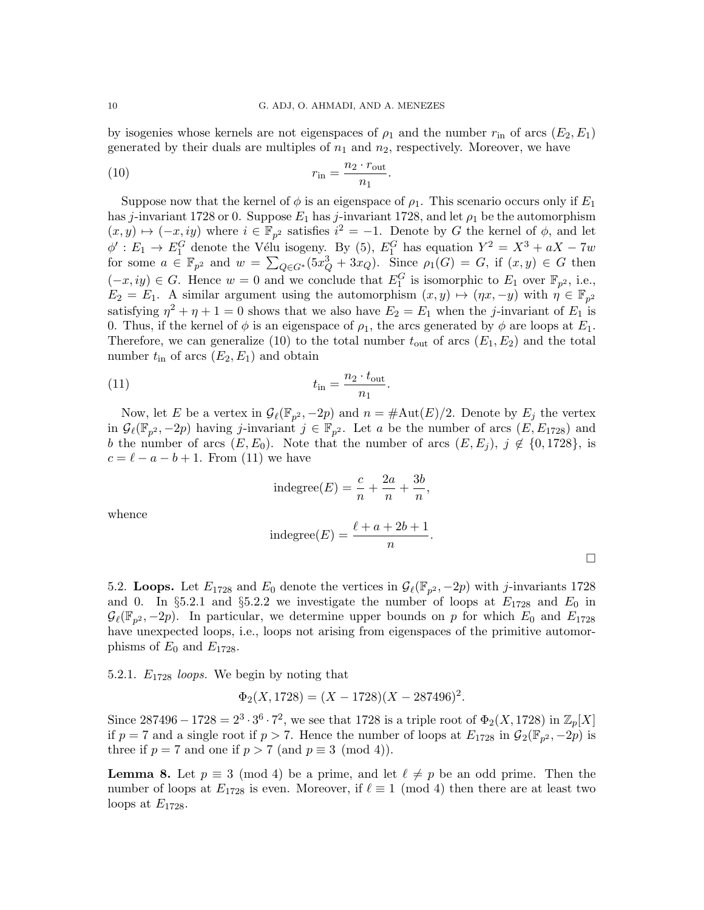by isogenies whose kernels are not eigenspaces of  $\rho_1$  and the number  $r_{\rm in}$  of arcs  $(E_2, E_1)$ generated by their duals are multiples of  $n_1$  and  $n_2$ , respectively. Moreover, we have

$$
r_{\rm in} = \frac{n_2 \cdot r_{\rm out}}{n_1}.
$$

Suppose now that the kernel of  $\phi$  is an eigenspace of  $\rho_1$ . This scenario occurs only if  $E_1$ has j-invariant 1728 or 0. Suppose  $E_1$  has j-invariant 1728, and let  $\rho_1$  be the automorphism  $(x, y) \mapsto (-x, iy)$  where  $i \in \mathbb{F}_{p^2}$  satisfies  $i^2 = -1$ . Denote by G the kernel of  $\phi$ , and let  $\phi': E_1 \to E_1^G$  denote the Vélu isogeny. By (5),  $E_1^G$  has equation  $Y^2 = X^3 + aX - 7w$ for some  $a \in \mathbb{F}_{p^2}$  and  $w = \sum_{Q \in G^*} (5x_Q^3 + 3x_Q)$ . Since  $\rho_1(G) = G$ , if  $(x, y) \in G$  then  $(-x, iy) \in G$ . Hence  $w = 0$  and we conclude that  $E_1^G$  is isomorphic to  $E_1$  over  $\mathbb{F}_{p^2}$ , i.e.,  $E_2 = E_1$ . A similar argument using the automorphism  $(x, y) \mapsto (\eta x, -y)$  with  $\eta \in \mathbb{F}_{p^2}$ satisfying  $\eta^2 + \eta + 1 = 0$  shows that we also have  $E_2 = E_1$  when the *j*-invariant of  $E_1$  is 0. Thus, if the kernel of  $\phi$  is an eigenspace of  $\rho_1$ , the arcs generated by  $\phi$  are loops at  $E_1$ . Therefore, we can generalize (10) to the total number  $t_{\text{out}}$  of arcs  $(E_1, E_2)$  and the total number  $t_{\text{in}}$  of arcs  $(E_2, E_1)$  and obtain

$$
t_{\rm in} = \frac{n_2 \cdot t_{\rm out}}{n_1}.
$$

Now, let E be a vertex in  $\mathcal{G}_{\ell}(\mathbb{F}_{p^2}, -2p)$  and  $n = \# \text{Aut}(E)/2$ . Denote by  $E_j$  the vertex in  $\mathcal{G}_{\ell}(\mathbb{F}_{p^2}, -2p)$  having j-invariant  $j \in \mathbb{F}_{p^2}$ . Let a be the number of arcs  $(E, E_{1728})$  and b the number of arcs  $(E, E_0)$ . Note that the number of arcs  $(E, E_i)$ ,  $j \notin \{0, 1728\}$ , is  $c = \ell - a - b + 1$ . From (11) we have

indegree(E) = 
$$
\frac{c}{n} + \frac{2a}{n} + \frac{3b}{n}
$$
,

whence

indegree(E) = 
$$
\frac{\ell + a + 2b + 1}{n}.
$$

5.2. Loops. Let  $E_{1728}$  and  $E_0$  denote the vertices in  $\mathcal{G}_{\ell}(\mathbb{F}_{p^2}, -2p)$  with j-invariants 1728 and 0. In §5.2.1 and §5.2.2 we investigate the number of loops at  $E_{1728}$  and  $E_0$  in  $\mathcal{G}_{\ell}(\mathbb{F}_{p^2}, -2p)$ . In particular, we determine upper bounds on p for which  $E_0$  and  $E_{1728}$ have unexpected loops, i.e., loops not arising from eigenspaces of the primitive automorphisms of  $E_0$  and  $E_{1728}$ .

5.2.1.  $E_{1728}$  loops. We begin by noting that

$$
\Phi_2(X, 1728) = (X - 1728)(X - 287496)^2.
$$

Since  $287496 - 1728 = 2^3 \cdot 3^6 \cdot 7^2$ , we see that 1728 is a triple root of  $\Phi_2(X, 1728)$  in  $\mathbb{Z}_p[X]$ if  $p = 7$  and a single root if  $p > 7$ . Hence the number of loops at  $E_{1728}$  in  $\mathcal{G}_2(\mathbb{F}_{p^2}, -2p)$  is three if  $p = 7$  and one if  $p > 7$  (and  $p \equiv 3 \pmod{4}$ ).

**Lemma 8.** Let  $p \equiv 3 \pmod{4}$  be a prime, and let  $\ell \neq p$  be an odd prime. Then the number of loops at  $E_{1728}$  is even. Moreover, if  $\ell \equiv 1 \pmod{4}$  then there are at least two loops at  $E_{1728}$ .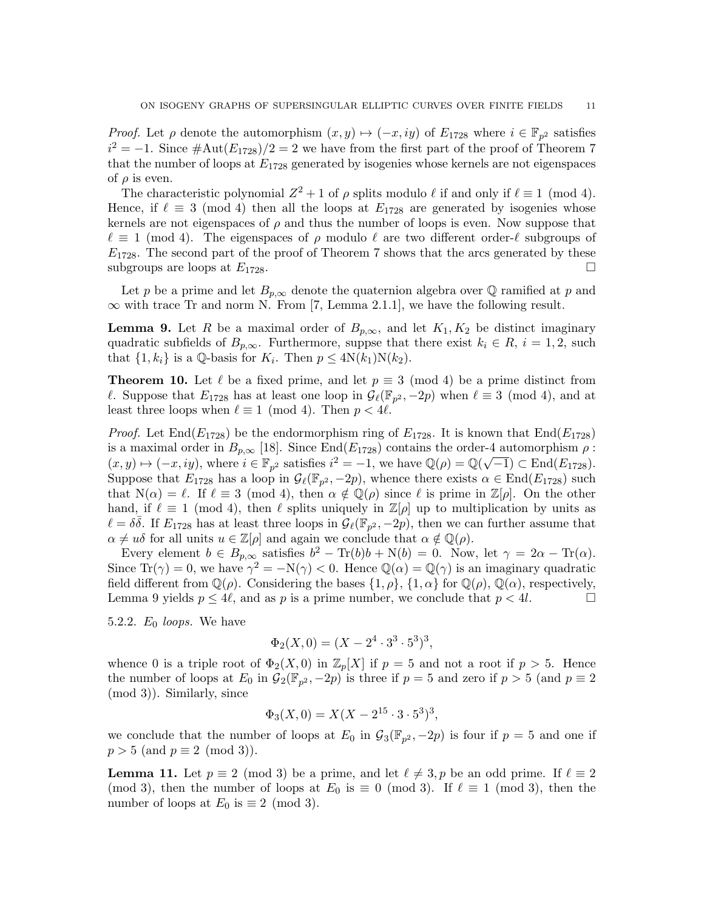*Proof.* Let  $\rho$  denote the automorphism  $(x, y) \mapsto (-x, iy)$  of  $E_{1728}$  where  $i \in \mathbb{F}_{p^2}$  satisfies  $i^2 = -1$ . Since  $\#\text{Aut}(E_{1728})/2 = 2$  we have from the first part of the proof of Theorem 7 that the number of loops at  $E_{1728}$  generated by isogenies whose kernels are not eigenspaces of  $\rho$  is even.

The characteristic polynomial  $Z^2 + 1$  of  $\rho$  splits modulo  $\ell$  if and only if  $\ell \equiv 1 \pmod{4}$ . Hence, if  $\ell \equiv 3 \pmod{4}$  then all the loops at  $E_{1728}$  are generated by isogenies whose kernels are not eigenspaces of  $\rho$  and thus the number of loops is even. Now suppose that  $\ell \equiv 1 \pmod{4}$ . The eigenspaces of  $\rho$  modulo  $\ell$  are two different order- $\ell$  subgroups of  $E_{1728}$ . The second part of the proof of Theorem 7 shows that the arcs generated by these subgroups are loops at  $E_{1728}$ .

Let p be a prime and let  $B_{p,\infty}$  denote the quaternion algebra over Q ramified at p and  $\infty$  with trace Tr and norm N. From [7, Lemma 2.1.1], we have the following result.

**Lemma 9.** Let R be a maximal order of  $B_{p,\infty}$ , and let  $K_1, K_2$  be distinct imaginary quadratic subfields of  $B_{p,\infty}$ . Furthermore, suppse that there exist  $k_i \in R$ ,  $i = 1,2$ , such that  $\{1, k_i\}$  is a Q-basis for  $K_i$ . Then  $p \leq 4N(k_1)N(k_2)$ .

**Theorem 10.** Let  $\ell$  be a fixed prime, and let  $p \equiv 3 \pmod{4}$  be a prime distinct from l. Suppose that  $E_{1728}$  has at least one loop in  $\mathcal{G}_{\ell}(\mathbb{F}_{p^2}, -2p)$  when  $\ell \equiv 3 \pmod{4}$ , and at least three loops when  $\ell \equiv 1 \pmod{4}$ . Then  $p < 4\ell$ .

*Proof.* Let End( $E_{1728}$ ) be the endormorphism ring of  $E_{1728}$ . It is known that End( $E_{1728}$ ) is a maximal order in  $B_{p,\infty}$  [18]. Since End( $E_{1728}$ ) contains the order-4 automorphism  $\rho$ :  $(x, y) \mapsto (-x, iy)$ , where  $i \in \mathbb{F}_{p^2}$  satisfies  $i^2 = -1$ , we have  $\mathbb{Q}(\rho) = \mathbb{Q}(\sqrt{-1}) \subset \text{End}(E_{1728})$ . Suppose that  $E_{1728}$  has a loop in  $\mathcal{G}_{\ell}(\mathbb{F}_{p^2}, -2p)$ , whence there exists  $\alpha \in \text{End}(E_{1728})$  such that  $N(\alpha) = \ell$ . If  $\ell \equiv 3 \pmod{4}$ , then  $\alpha \notin \mathbb{Q}(\rho)$  since  $\ell$  is prime in  $\mathbb{Z}[\rho]$ . On the other hand, if  $\ell \equiv 1 \pmod{4}$ , then  $\ell$  splits uniquely in  $\mathbb{Z}[\rho]$  up to multiplication by units as  $\ell = \delta\bar{\delta}$ . If  $E_{1728}$  has at least three loops in  $\mathcal{G}_{\ell}(\mathbb{F}_{p^2}, -2p)$ , then we can further assume that  $\alpha \neq u\delta$  for all units  $u \in \mathbb{Z}[\rho]$  and again we conclude that  $\alpha \notin \mathbb{Q}(\rho)$ .

Every element  $b \in B_{p,\infty}$  satisfies  $b^2 - \text{Tr}(b)b + \text{N}(b) = 0$ . Now, let  $\gamma = 2\alpha - \text{Tr}(\alpha)$ . Since  $Tr(\gamma) = 0$ , we have  $\gamma^2 = -N(\gamma) < 0$ . Hence  $\mathbb{Q}(\alpha) = \mathbb{Q}(\gamma)$  is an imaginary quadratic field different from  $\mathbb{Q}(\rho)$ . Considering the bases  $\{1,\rho\}$ ,  $\{1,\alpha\}$  for  $\mathbb{Q}(\rho)$ ,  $\mathbb{Q}(\alpha)$ , respectively, Lemma 9 yields  $p \leq 4\ell$ , and as p is a prime number, we conclude that  $p < 4l$ .

5.2.2.  $E_0$  loops. We have

$$
\Phi_2(X,0) = (X - 2^4 \cdot 3^3 \cdot 5^3)^3,
$$

whence 0 is a triple root of  $\Phi_2(X,0)$  in  $\mathbb{Z}_p[X]$  if  $p=5$  and not a root if  $p>5$ . Hence the number of loops at  $E_0$  in  $\mathcal{G}_2(\mathbb{F}_{p^2}, -2p)$  is three if  $p = 5$  and zero if  $p > 5$  (and  $p \equiv 2$ (mod 3)). Similarly, since

$$
\Phi_3(X,0) = X(X - 2^{15} \cdot 3 \cdot 5^3)^3,
$$

we conclude that the number of loops at  $E_0$  in  $\mathcal{G}_3(\mathbb{F}_{p^2}, -2p)$  is four if  $p=5$  and one if  $p > 5$  (and  $p \equiv 2 \pmod{3}$ ).

**Lemma 11.** Let  $p \equiv 2 \pmod{3}$  be a prime, and let  $\ell \neq 3, p$  be an odd prime. If  $\ell \equiv 2$ (mod 3), then the number of loops at  $E_0$  is  $\equiv 0 \pmod{3}$ . If  $\ell \equiv 1 \pmod{3}$ , then the number of loops at  $E_0$  is  $\equiv 2 \pmod{3}$ .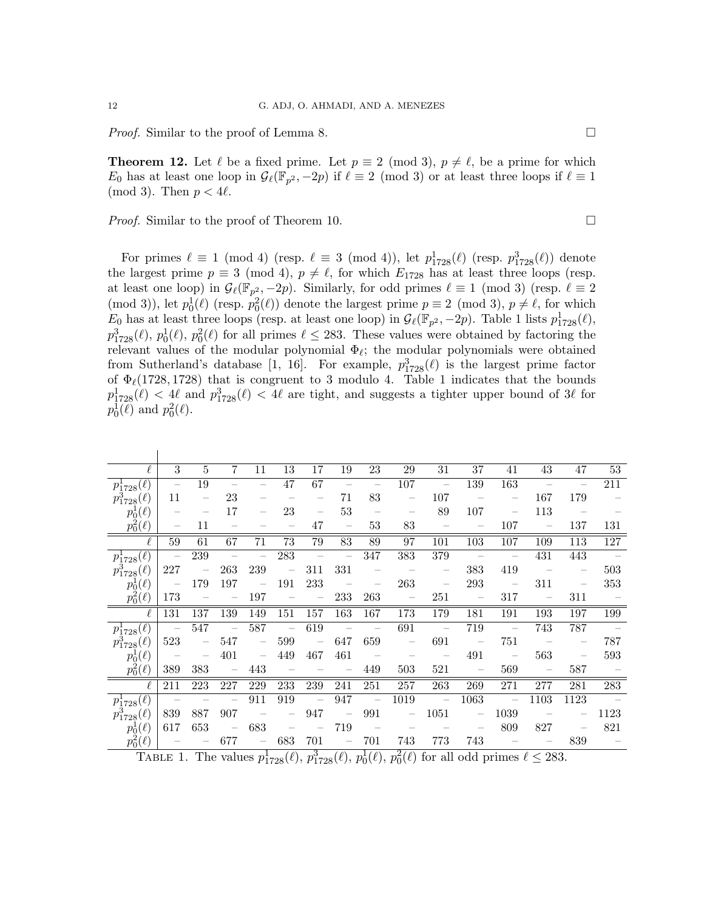*Proof.* Similar to the proof of Lemma 8.

**Theorem 12.** Let  $\ell$  be a fixed prime. Let  $p \equiv 2 \pmod{3}$ ,  $p \neq \ell$ , be a prime for which  $E_0$  has at least one loop in  $\mathcal{G}_{\ell}(\mathbb{F}_{p^2}, -2p)$  if  $\ell \equiv 2 \pmod{3}$  or at least three loops if  $\ell \equiv 1$ (mod 3). Then  $p < 4\ell$ .

*Proof.* Similar to the proof of Theorem 10.  $\Box$ 

For primes  $\ell \equiv 1 \pmod{4}$  (resp.  $\ell \equiv 3 \pmod{4}$ ), let  $p_{1728}^1(\ell)$  (resp.  $p_{1728}^3(\ell)$ ) denote the largest prime  $p \equiv 3 \pmod{4}$ ,  $p \neq \ell$ , for which  $E_{1728}$  has at least three loops (resp. at least one loop) in  $\mathcal{G}_{\ell}(\mathbb{F}_{p^2}, -2p)$ . Similarly, for odd primes  $\ell \equiv 1 \pmod{3}$  (resp.  $\ell \equiv 2$ (mod 3)), let  $p_0^1(\ell)$  (resp.  $p_0^2(\ell)$ ) denote the largest prime  $p \equiv 2 \pmod{3}$ ,  $p \neq \ell$ , for which  $E_0$  has at least three loops (resp. at least one loop) in  $\mathcal{G}_{\ell}(\mathbb{F}_{p^2}, -2p)$ . Table 1 lists  $p_{1728}^1(\ell)$ ,  $p_{1728}^3(\ell), p_0^1(\ell), p_0^2(\ell)$  for all primes  $\ell \leq 283$ . These values were obtained by factoring the relevant values of the modular polynomial  $\Phi_{\ell}$ ; the modular polynomials were obtained from Sutherland's database [1, 16]. For example,  $p_{1728}^3(\ell)$  is the largest prime factor of  $\Phi_{\ell}(1728, 1728)$  that is congruent to 3 modulo 4. Table 1 indicates that the bounds  $p_{1728}^1(\ell) < 4\ell$  and  $p_{1728}^3(\ell) < 4\ell$  are tight, and suggests a tighter upper bound of 3 $\ell$  for  $p_0^{\{1\}}(\ell)$  and  $p_0^2(\ell)$ .

| $\ell$                | 3                        | $\overline{5}$           | $7^{\circ}$              | 11                       | 13                                | 17                              | 19                       | 23                              | 29                       | 31                                                                                                                                                                                                                                                                                                                           | 37                                                                                                                                                                                                                                                                                                                           | 41                                                                                                                       | 43                       | 47                                | $53\,$     |
|-----------------------|--------------------------|--------------------------|--------------------------|--------------------------|-----------------------------------|---------------------------------|--------------------------|---------------------------------|--------------------------|------------------------------------------------------------------------------------------------------------------------------------------------------------------------------------------------------------------------------------------------------------------------------------------------------------------------------|------------------------------------------------------------------------------------------------------------------------------------------------------------------------------------------------------------------------------------------------------------------------------------------------------------------------------|--------------------------------------------------------------------------------------------------------------------------|--------------------------|-----------------------------------|------------|
| $p_{1728}^1(\ell)$    | $\overline{\phantom{0}}$ | 19                       | $\equiv$                 | $\overline{\phantom{0}}$ | 47                                | 67                              | $\overline{\phantom{m}}$ | $\overline{\phantom{a}}$        | 107                      | $\sim$                                                                                                                                                                                                                                                                                                                       | 139                                                                                                                                                                                                                                                                                                                          | 163                                                                                                                      | $\sim$                   | $\overline{\phantom{a}}$          | 211        |
| $p_{1728}^3(\ell)$    | 11                       | $\qquad \qquad -$        | 23                       |                          |                                   |                                 | 71                       | 83                              | $\overline{\phantom{m}}$ | 107                                                                                                                                                                                                                                                                                                                          | $\sim$ $-$                                                                                                                                                                                                                                                                                                                   |                                                                                                                          | 167                      | 179                               |            |
| $p_0^1(\ell)$         |                          |                          | 17                       |                          | 23                                | $\overline{\phantom{m}}$        | 53                       | $\hspace{0.1mm}-\hspace{0.1mm}$ | $\overline{\phantom{m}}$ | 89                                                                                                                                                                                                                                                                                                                           | 107                                                                                                                                                                                                                                                                                                                          | $\overline{\phantom{m}}$                                                                                                 | 113                      | $\sim$ $-$                        |            |
| $p_0^2(\ell)$         |                          | 11                       |                          |                          |                                   | 47                              | $\overline{\phantom{m}}$ | 53                              | 83                       | $\hspace{0.1mm}$                                                                                                                                                                                                                                                                                                             |                                                                                                                                                                                                                                                                                                                              | 107                                                                                                                      | $\overline{\phantom{0}}$ | 137                               | 131        |
|                       | 59                       | 61                       | 67                       | 71                       | 73                                | 79                              | 83                       | 89                              | 97                       | 101                                                                                                                                                                                                                                                                                                                          | 103                                                                                                                                                                                                                                                                                                                          | 107                                                                                                                      | 109                      | 113                               | 127        |
| $p_{1728}^1(\ell)$    | 三、                       | 239                      | $\overline{\phantom{0}}$ | $\equiv$                 | 283                               | $\overline{\phantom{a}}$        | $\overline{\phantom{m}}$ | 347                             | 383                      | 379                                                                                                                                                                                                                                                                                                                          | $\sim$ $-$                                                                                                                                                                                                                                                                                                                   | $\overline{\phantom{0}}$                                                                                                 | 431                      | 443                               | $\sim$ $-$ |
| $p_{1728}^3(\ell)$    | 227                      | $\overline{\phantom{m}}$ | 263                      | 239                      | $\overline{\phantom{a}}$          | 311                             | 331                      | $\overline{\phantom{a}}$        | $\sim$ $-$               | $\overline{\phantom{a}}$                                                                                                                                                                                                                                                                                                     | 383                                                                                                                                                                                                                                                                                                                          | 419                                                                                                                      | $\sim$ $-$               | $\overline{\phantom{a}}$          | 503        |
| $p_0^1(\ell)$         | $\overline{\phantom{a}}$ | 179                      | 197                      | $\qquad \qquad -$        | 191                               | 233                             |                          | $\overline{\phantom{m}}$        | 263                      | $\hspace{1.0cm} - \hspace{1.0cm}$                                                                                                                                                                                                                                                                                            | 293                                                                                                                                                                                                                                                                                                                          | $\sim$ $-$                                                                                                               | 311                      | $\hspace{1.0cm} - \hspace{1.0cm}$ | 353        |
| $p_0^2(\ell)$         | 173                      |                          |                          | 197                      |                                   |                                 | 233                      | 263                             | $\overline{\phantom{m}}$ | 251                                                                                                                                                                                                                                                                                                                          | $\hspace{0.1cm}$ $\hspace{0.1cm}$ $\hspace{0.1cm}$ $\hspace{0.1cm}$ $\hspace{0.1cm}$ $\hspace{0.1cm}$ $\hspace{0.1cm}$ $\hspace{0.1cm}$ $\hspace{0.1cm}$ $\hspace{0.1cm}$ $\hspace{0.1cm}$ $\hspace{0.1cm}$ $\hspace{0.1cm}$ $\hspace{0.1cm}$ $\hspace{0.1cm}$ $\hspace{0.1cm}$ $\hspace{0.1cm}$ $\hspace{0.1cm}$ $\hspace{$ | 317                                                                                                                      | $\overline{\phantom{m}}$ | 311                               |            |
| $\overline{\ell}$     | 131                      | 137                      | 139                      | 149                      | 151                               | 157                             | 163                      | 167                             | 173                      | 179                                                                                                                                                                                                                                                                                                                          | 181                                                                                                                                                                                                                                                                                                                          | 191                                                                                                                      | 193                      | 197                               | 199        |
| $p_{1728}^1(\ell)$    | $\sim$ $-$               | 547                      | $\overline{\phantom{a}}$ | 587                      | $\overline{\phantom{a}}$          | 619                             | $\sim$ $-$               | $\sim$ $-$                      | 691                      | $\sim$ $-$                                                                                                                                                                                                                                                                                                                   | 719                                                                                                                                                                                                                                                                                                                          | $\sim$ $-$                                                                                                               | 743                      | 787                               | $\sim$ $-$ |
| $p_{1728}^3(\ell)$    | 523                      | $\overline{\phantom{a}}$ | 547                      | $\qquad \qquad -$        | 599                               | $\overline{\phantom{a}}$        | 647                      | 659                             | $\overline{\phantom{0}}$ | 691                                                                                                                                                                                                                                                                                                                          | $\sim$ $-$                                                                                                                                                                                                                                                                                                                   | 751                                                                                                                      | $\overline{\phantom{0}}$ |                                   | 787        |
| $p_0^1(\ell)$         | $\sim$ $-$               | $\qquad \qquad -$        | 401                      | $\qquad \qquad -$        | 449                               | 467                             | 461                      | $\sim$ $-$                      | $\overline{\phantom{m}}$ | $\overline{\phantom{0}}$                                                                                                                                                                                                                                                                                                     | 491                                                                                                                                                                                                                                                                                                                          | $\sim$ $-$                                                                                                               | 563                      | $\overline{\phantom{a}}$          | 593        |
| $p_0^2(\ell)$         | 389                      | 383                      | $\overline{\phantom{a}}$ | 443                      | $\overline{\phantom{m}}$          | $\hspace{0.1mm}-\hspace{0.1mm}$ | $\overline{\phantom{a}}$ | 449                             | 503                      | 521                                                                                                                                                                                                                                                                                                                          | $\sim$ $-$                                                                                                                                                                                                                                                                                                                   | 569                                                                                                                      | $\overline{\phantom{m}}$ | 587                               |            |
| $\ell$                | 211                      | 223                      | 227                      | 229                      | 233                               | 239                             | 241                      | 251                             | 257                      | 263                                                                                                                                                                                                                                                                                                                          | 269                                                                                                                                                                                                                                                                                                                          | 271                                                                                                                      | 277                      | 281                               | $283\,$    |
| $p_{1728}^{1}(\ell)$  | $\sim$ $-$               | $\sim$ $-$               | $\overline{\phantom{m}}$ | 911                      | 919                               | $\overline{\phantom{a}}$        | 947                      | $\overline{\phantom{a}}$        | 1019                     | $\hspace{0.1cm}$ $\hspace{0.1cm}$ $\hspace{0.1cm}$ $\hspace{0.1cm}$ $\hspace{0.1cm}$ $\hspace{0.1cm}$ $\hspace{0.1cm}$ $\hspace{0.1cm}$ $\hspace{0.1cm}$ $\hspace{0.1cm}$ $\hspace{0.1cm}$ $\hspace{0.1cm}$ $\hspace{0.1cm}$ $\hspace{0.1cm}$ $\hspace{0.1cm}$ $\hspace{0.1cm}$ $\hspace{0.1cm}$ $\hspace{0.1cm}$ $\hspace{$ | 1063                                                                                                                                                                                                                                                                                                                         | $\sim$                                                                                                                   | 1103                     | 1123                              | $\sim$ $-$ |
| $p_{1728}^3(\ell)$    | 839                      | 887                      | 907                      | $\overline{\phantom{a}}$ | $\qquad \qquad -$                 | 947                             | $\overline{\phantom{0}}$ | 991                             | $\overline{\phantom{m}}$ | 1051                                                                                                                                                                                                                                                                                                                         | $\overline{\phantom{m}}$                                                                                                                                                                                                                                                                                                     | 1039                                                                                                                     | $\overline{\phantom{a}}$ |                                   | 1123       |
| $p_0^1(\ell)$         | 617                      | 653                      | $\overline{\phantom{m}}$ | 683                      | $\overline{\phantom{a}}$          | $\overline{\phantom{m}}$        | 719                      | $\overline{\phantom{a}}$        | $\overline{\phantom{m}}$ |                                                                                                                                                                                                                                                                                                                              | $\overline{\phantom{m}}$                                                                                                                                                                                                                                                                                                     | 809                                                                                                                      | 827                      | $\overline{\phantom{a}}$          | 821        |
| $p_0^2(\ell)$         |                          | $\overline{\phantom{a}}$ | 677                      | $\overline{\phantom{0}}$ | 683                               | 701                             | $\overline{\phantom{a}}$ | 701                             | 743                      | 773                                                                                                                                                                                                                                                                                                                          | 743                                                                                                                                                                                                                                                                                                                          | $\label{eq:1} \begin{array}{cccccccccc} \bullet & \bullet & \bullet & \bullet & \bullet & \bullet & \bullet \end{array}$ |                          | 839                               |            |
| $\Gamma_{\rm ADID}$ 1 |                          |                          |                          |                          | The values $n^1$ ( $\ell$ ) $n^3$ |                                 |                          |                                 |                          | $(\ell)$ $n^{1}(\ell)$ $n^{2}(\ell)$ for all odd primes $\ell < 283$                                                                                                                                                                                                                                                         |                                                                                                                                                                                                                                                                                                                              |                                                                                                                          |                          |                                   |            |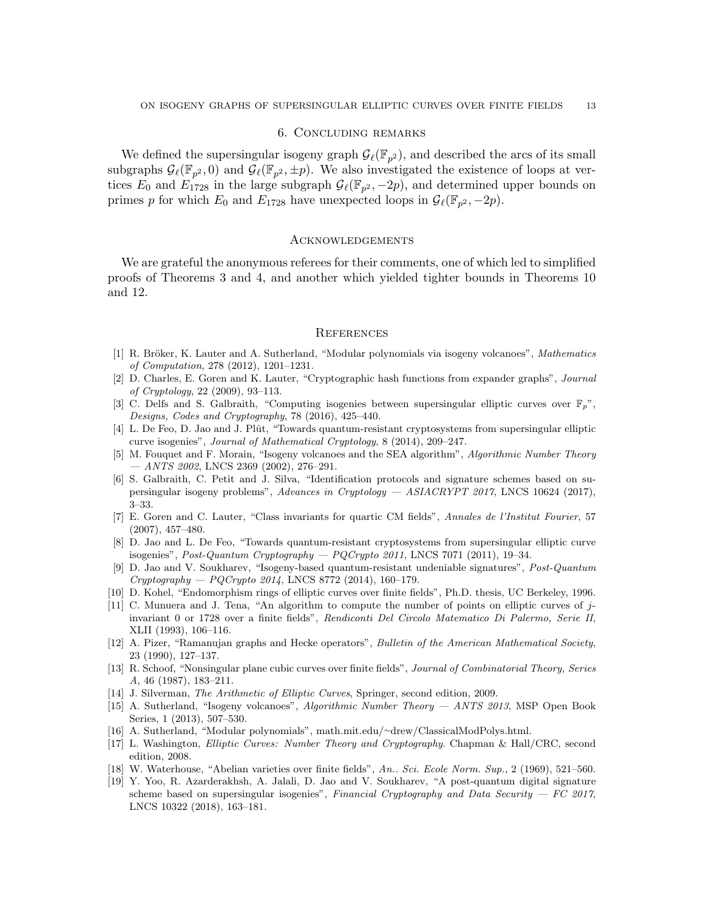## 6. Concluding remarks

We defined the supersingular isogeny graph  $\mathcal{G}_{\ell}(\mathbb{F}_{p^2})$ , and described the arcs of its small subgraphs  $G_{\ell}(\mathbb{F}_{p^2}, 0)$  and  $\mathcal{G}_{\ell}(\mathbb{F}_{p^2}, \pm p)$ . We also investigated the existence of loops at vertices  $E_0$  and  $E_{1728}$  in the large subgraph  $\mathcal{G}_{\ell}(\mathbb{F}_{p^2}, -2p)$ , and determined upper bounds on primes p for which  $E_0$  and  $E_{1728}$  have unexpected loops in  $\mathcal{G}_{\ell}(\mathbb{F}_{p^2}, -2p)$ .

# **ACKNOWLEDGEMENTS**

We are grateful the anonymous referees for their comments, one of which led to simplified proofs of Theorems 3 and 4, and another which yielded tighter bounds in Theorems 10 and 12.

### **REFERENCES**

- [1] R. Bröker, K. Lauter and A. Sutherland, "Modular polynomials via isogeny volcanoes", Mathematics of Computation, 278 (2012), 1201–1231.
- [2] D. Charles, E. Goren and K. Lauter, "Cryptographic hash functions from expander graphs", Journal of Cryptology, 22 (2009), 93–113.
- [3] C. Delfs and S. Galbraith, "Computing isogenies between supersingular elliptic curves over  $\mathbb{F}_p$ ", Designs, Codes and Cryptography, 78 (2016), 425–440.
- [4] L. De Feo, D. Jao and J. Plût, "Towards quantum-resistant cryptosystems from supersingular elliptic curve isogenies", Journal of Mathematical Cryptology, 8 (2014), 209–247.
- [5] M. Fouquet and F. Morain, "Isogeny volcanoes and the SEA algorithm", Algorithmic Number Theory  $-$  ANTS 2002, LNCS 2369 (2002), 276-291.
- [6] S. Galbraith, C. Petit and J. Silva, "Identification protocols and signature schemes based on supersingular isogeny problems", Advances in Cryptology — ASIACRYPT 2017, LNCS 10624 (2017), 3–33.
- [7] E. Goren and C. Lauter, "Class invariants for quartic CM fields", Annales de l'Institut Fourier, 57 (2007), 457–480.
- [8] D. Jao and L. De Feo, "Towards quantum-resistant cryptosystems from supersingular elliptic curve isogenies", Post-Quantum Cryptography — PQCrypto 2011, LNCS 7071 (2011), 19–34.
- [9] D. Jao and V. Soukharev, "Isogeny-based quantum-resistant undeniable signatures", Post-Quantum  $Cryptography - PQCrypto 2014$ , LNCS 8772 (2014), 160-179.
- [10] D. Kohel, "Endomorphism rings of elliptic curves over finite fields", Ph.D. thesis, UC Berkeley, 1996.
- [11] C. Munuera and J. Tena, "An algorithm to compute the number of points on elliptic curves of jinvariant 0 or 1728 over a finite fields", Rendiconti Del Circolo Matematico Di Palermo, Serie II, XLII (1993), 106–116.
- [12] A. Pizer, "Ramanujan graphs and Hecke operators", Bulletin of the American Mathematical Society, 23 (1990), 127–137.
- [13] R. Schoof, "Nonsingular plane cubic curves over finite fields", Journal of Combinatorial Theory, Series A, 46 (1987), 183–211.
- [14] J. Silverman, The Arithmetic of Elliptic Curves, Springer, second edition, 2009.
- [15] A. Sutherland, "Isogeny volcanoes", *Algorithmic Number Theory ANTS 2013*, MSP Open Book Series, 1 (2013), 507–530.
- [16] A. Sutherland, "Modular polynomials", math.mit.edu/∼drew/ClassicalModPolys.html.
- [17] L. Washington, Elliptic Curves: Number Theory and Cryptography. Chapman & Hall/CRC, second edition, 2008.
- [18] W. Waterhouse, "Abelian varieties over finite fields", An.. Sci. Ecole Norm. Sup., 2 (1969), 521–560.
- [19] Y. Yoo, R. Azarderakhsh, A. Jalali, D. Jao and V. Soukharev, "A post-quantum digital signature scheme based on supersingular isogenies", Financial Cryptography and Data Security  $-$  FC 2017, LNCS 10322 (2018), 163–181.